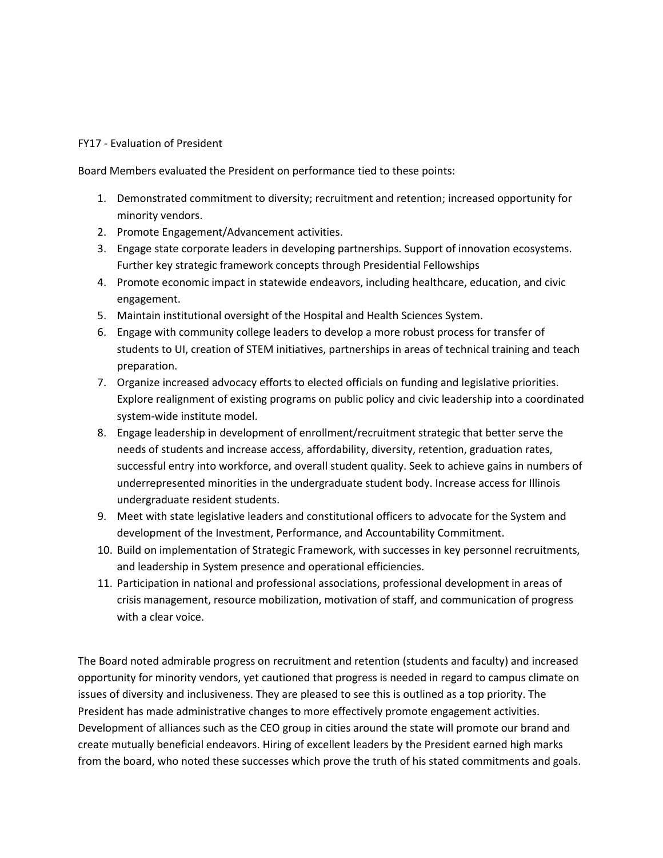## FY17 - Evaluation of President

Board Members evaluated the President on performance tied to these points:

- 1. Demonstrated commitment to diversity; recruitment and retention; increased opportunity for minority vendors.
- 2. Promote Engagement/Advancement activities.
- 3. Engage state corporate leaders in developing partnerships. Support of innovation ecosystems. Further key strategic framework concepts through Presidential Fellowships
- 4. Promote economic impact in statewide endeavors, including healthcare, education, and civic engagement.
- 5. Maintain institutional oversight of the Hospital and Health Sciences System.
- 6. Engage with community college leaders to develop a more robust process for transfer of students to UI, creation of STEM initiatives, partnerships in areas of technical training and teach preparation.
- 7. Organize increased advocacy efforts to elected officials on funding and legislative priorities. Explore realignment of existing programs on public policy and civic leadership into a coordinated system-wide institute model.
- 8. Engage leadership in development of enrollment/recruitment strategic that better serve the needs of students and increase access, affordability, diversity, retention, graduation rates, successful entry into workforce, and overall student quality. Seek to achieve gains in numbers of underrepresented minorities in the undergraduate student body. Increase access for Illinois undergraduate resident students.
- 9. Meet with state legislative leaders and constitutional officers to advocate for the System and development of the Investment, Performance, and Accountability Commitment.
- 10. Build on implementation of Strategic Framework, with successes in key personnel recruitments, and leadership in System presence and operational efficiencies.
- 11. Participation in national and professional associations, professional development in areas of crisis management, resource mobilization, motivation of staff, and communication of progress with a clear voice.

The Board noted admirable progress on recruitment and retention (students and faculty) and increased opportunity for minority vendors, yet cautioned that progress is needed in regard to campus climate on issues of diversity and inclusiveness. They are pleased to see this is outlined as a top priority. The President has made administrative changes to more effectively promote engagement activities. Development of alliances such as the CEO group in cities around the state will promote our brand and create mutually beneficial endeavors. Hiring of excellent leaders by the President earned high marks from the board, who noted these successes which prove the truth of his stated commitments and goals.